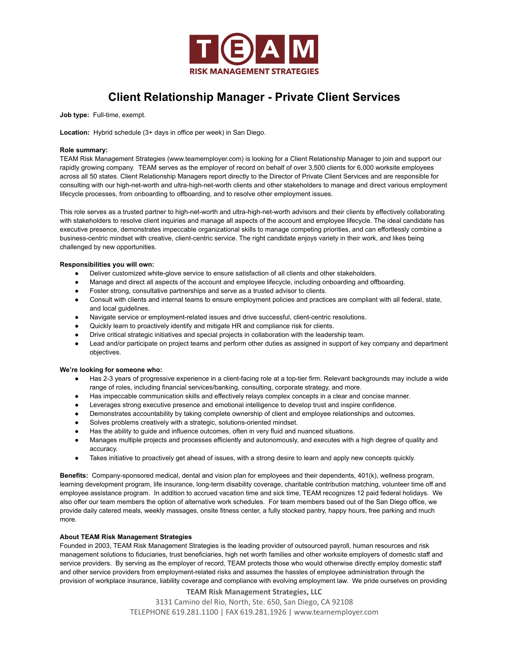

# **Client Relationship Manager - Private Client Services**

**Job type:** Full-time, exempt.

**Location:** Hybrid schedule (3+ days in office per week) in San Diego.

# **Role summary:**

TEAM Risk Management Strategies (www.teamemployer.com) is looking for a Client Relationship Manager to join and support our rapidly growing company. TEAM serves as the employer of record on behalf of over 3,500 clients for 6,000 worksite employees across all 50 states. Client Relationship Managers report directly to the Director of Private Client Services and are responsible for consulting with our high-net-worth and ultra-high-net-worth clients and other stakeholders to manage and direct various employment lifecycle processes, from onboarding to offboarding, and to resolve other employment issues.

This role serves as a trusted partner to high-net-worth and ultra-high-net-worth advisors and their clients by effectively collaborating with stakeholders to resolve client inquiries and manage all aspects of the account and employee lifecycle. The ideal candidate has executive presence, demonstrates impeccable organizational skills to manage competing priorities, and can effortlessly combine a business-centric mindset with creative, client-centric service. The right candidate enjoys variety in their work, and likes being challenged by new opportunities.

## **Responsibilities you will own:**

- Deliver customized white-glove service to ensure satisfaction of all clients and other stakeholders.
- Manage and direct all aspects of the account and employee lifecycle, including onboarding and offboarding.
- Foster strong, consultative partnerships and serve as a trusted advisor to clients.
- Consult with clients and internal teams to ensure employment policies and practices are compliant with all federal, state, and local guidelines.
- Navigate service or employment-related issues and drive successful, client-centric resolutions.
- Quickly learn to proactively identify and mitigate HR and compliance risk for clients.
- Drive critical strategic initiatives and special projects in collaboration with the leadership team.
- Lead and/or participate on project teams and perform other duties as assigned in support of key company and department objectives.

#### **We're looking for someone who:**

- Has 2-3 years of progressive experience in a client-facing role at a top-tier firm. Relevant backgrounds may include a wide range of roles, including financial services/banking, consulting, corporate strategy, and more.
- Has impeccable communication skills and effectively relays complex concepts in a clear and concise manner.
- Leverages strong executive presence and emotional intelligence to develop trust and inspire confidence.
- Demonstrates accountability by taking complete ownership of client and employee relationships and outcomes.
- Solves problems creatively with a strategic, solutions-oriented mindset.
- Has the ability to guide and influence outcomes, often in very fluid and nuanced situations.
- Manages multiple projects and processes efficiently and autonomously, and executes with a high degree of quality and accuracy.
- Takes initiative to proactively get ahead of issues, with a strong desire to learn and apply new concepts quickly.

**Benefits:** Company-sponsored medical, dental and vision plan for employees and their dependents, 401(k), wellness program, learning development program, life insurance, long-term disability coverage, charitable contribution matching, volunteer time off and employee assistance program. In addition to accrued vacation time and sick time, TEAM recognizes 12 paid federal holidays. We also offer our team members the option of alternative work schedules. For team members based out of the San Diego office, we provide daily catered meals, weekly massages, onsite fitness center, a fully stocked pantry, happy hours, free parking and much more.

### **About TEAM Risk Management Strategies**

Founded in 2003, TEAM Risk Management Strategies is the leading provider of outsourced payroll, human resources and risk management solutions to fiduciaries, trust beneficiaries, high net worth families and other worksite employers of domestic staff and service providers. By serving as the employer of record, TEAM protects those who would otherwise directly employ domestic staff and other service providers from employment-related risks and assumes the hassles of employee administration through the provision of workplace insurance, liability coverage and compliance with evolving employment law. We pride ourselves on providing

**TEAM Risk Management Strategies, LLC**

3131 Camino del Rio, North, Ste. 650, San Diego, CA 92108

TELEPHONE 619.281.1100 | FAX 619.281.1926 | www.teamemployer.com